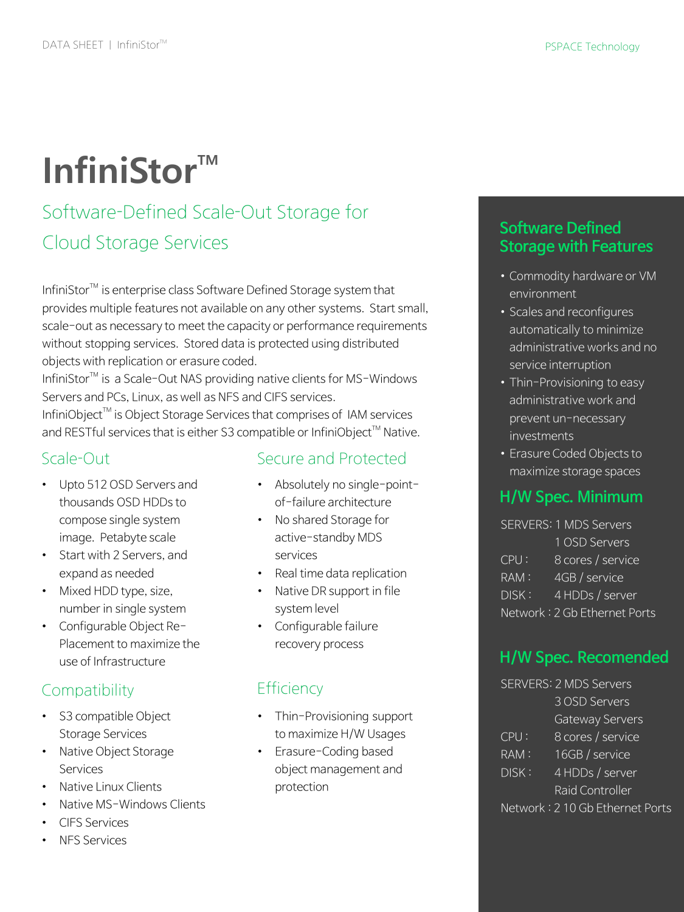# **InfiniStor™**

# Software-Defined Scale-Out Storage for Cloud Storage Services

InfiniStor<sup>™</sup> is enterprise class Software Defined Storage system that provides multiple features not available on any other systems. Start small, scale-out as necessary to meet the capacity or performance requirements without stopping services. Stored data is protected using distributed objects with replication or erasure coded.

InfiniStor<sup>™</sup> is a Scale-Out NAS providing native clients for MS-Windows Servers and PCs, Linux, as well as NFS and CIFS services.

InfiniObject<sup>™</sup> is Object Storage Services that comprises of IAM services and RESTful services that is either S3 compatible or InfiniObject™ Native.

#### Scale-Out

- Upto 512 OSD Servers and thousands OSD HDDs to compose single system image. Petabyte scale
- Start with 2 Servers, and expand as needed
- Mixed HDD type, size, number in single system
- Configurable Object Re-Placement to maximize the use of Infrastructure

## **Compatibility**

- S3 compatible Object Storage Services
- Native Object Storage **Services**
- Native Linux Clients
- Native MS-Windows Clients
- CIFS Services
- NFS Services

#### Secure and Protected

- Absolutely no single-pointof-failure architecture
- No shared Storage for active-standby MDS services
- Real time data replication
- Native DR support in file system level
- Configurable failure recovery process

# **Efficiency**

- Thin-Provisioning support to maximize H/W Usages
- Erasure-Coding based object management and protection

#### **Software Defined Storage with Features**

- Commodity hardware or VM environment
- Scales and reconfigures automatically to minimize administrative works and no service interruption
- Thin-Provisioning to easy administrative work and prevent un-necessary investments
- Erasure Coded Objects to maximize storage spaces

## **H/W Spec. Minimum**

SERVERS: 1 MDS Servers 1 OSD Servers CPU : 8 cores / service RAM: 4GB / service DISK : 4 HDDs / server

Network : 2 Gb Ethernet Ports

## **H/W Spec. Recomended**

|         | <b>SERVERS: 2 MDS Servers</b>   |
|---------|---------------------------------|
|         | 3 OSD Servers                   |
|         | Gateway Servers                 |
| CPU:    | 8 cores / service               |
| $RAM$ : | 16GB / service                  |
| DISK:   | 4 HDDs / server                 |
|         | Raid Controller                 |
|         | Network: 2 10 Gb Ethernet Ports |